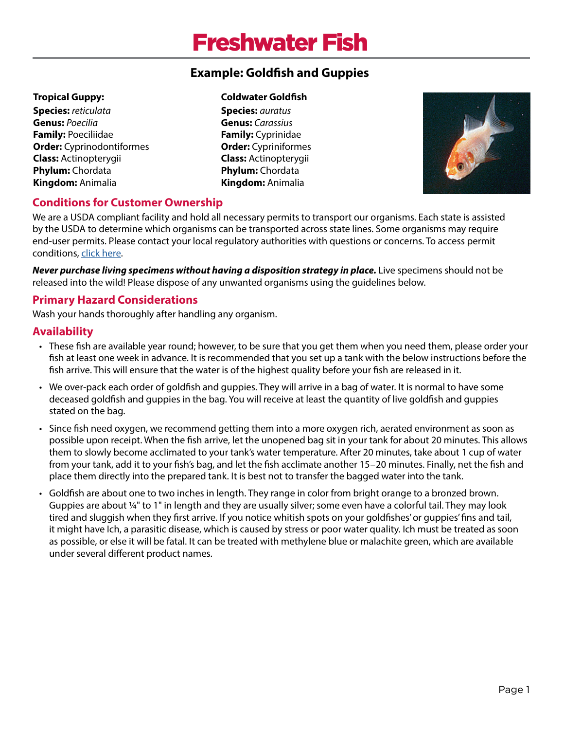# Freshwater Fish

## **Example: Goldfish and Guppies**

#### **Tropical Guppy:**

**Species:** *reticulata*  **Genus:** *Poecilia*  **Family:** Poeciliidae **Order:** Cyprinodontiformes **Class:** Actinopterygii **Phylum:** Chordata **Kingdom:** Animalia

#### **Coldwater Goldfish**

**Species:** *auratus* **Genus:** *Carassius* **Family:** Cyprinidae **Order:** Cypriniformes **Class:** Actinopterygii **Phylum:** Chordata **Kingdom:** Animalia



## **Conditions for Customer Ownership**

We are a USDA compliant facility and hold all necessary permits to transport our organisms. Each state is assisted by the USDA to determine which organisms can be transported across state lines. Some organisms may require end-user permits. Please contact your local regulatory authorities with questions or concerns. To access permit conditions, [click here](https://www.wardsci.com/cms/usda_state_permits_for_live_materials).

*Never purchase living specimens without having a disposition strategy in place.* **Live specimens should not be** released into the wild! Please dispose of any unwanted organisms using the guidelines below.

## **Primary Hazard Considerations**

Wash your hands thoroughly after handling any organism.

#### **Availability**

- These fish are available year round; however, to be sure that you get them when you need them, please order your fish at least one week in advance. It is recommended that you set up a tank with the below instructions before the fish arrive. This will ensure that the water is of the highest quality before your fish are released in it.
- We over-pack each order of goldfish and guppies. They will arrive in a bag of water. It is normal to have some deceased goldfish and guppies in the bag. You will receive at least the quantity of live goldfish and guppies stated on the bag.
- Since fish need oxygen, we recommend getting them into a more oxygen rich, aerated environment as soon as possible upon receipt. When the fish arrive, let the unopened bag sit in your tank for about 20 minutes. This allows them to slowly become acclimated to your tank's water temperature. After 20 minutes, take about 1 cup of water from your tank, add it to your fish's bag, and let the fish acclimate another 15–20 minutes. Finally, net the fish and place them directly into the prepared tank. It is best not to transfer the bagged water into the tank.
- Goldfish are about one to two inches in length. They range in color from bright orange to a bronzed brown. Guppies are about 1⁄4" to 1" in length and they are usually silver; some even have a colorful tail. They may look tired and sluggish when they first arrive. If you notice whitish spots on your goldfishes' or guppies' fins and tail, it might have Ich, a parasitic disease, which is caused by stress or poor water quality. Ich must be treated as soon as possible, or else it will be fatal. It can be treated with methylene blue or malachite green, which are available under several different product names.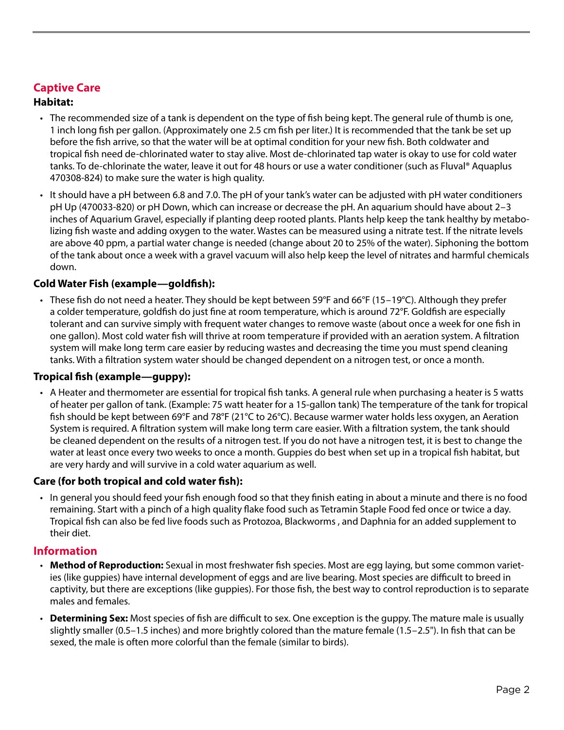## **Captive Care**

#### **Habitat:**

- The recommended size of a tank is dependent on the type of fish being kept. The general rule of thumb is one, 1 inch long fish per gallon. (Approximately one 2.5 cm fish per liter.) It is recommended that the tank be set up before the fish arrive, so that the water will be at optimal condition for your new fish. Both coldwater and tropical fish need de-chlorinated water to stay alive. Most de-chlorinated tap water is okay to use for cold water tanks. To de-chlorinate the water, leave it out for 48 hours or use a water conditioner (such as Fluval® Aquaplus 470308-824) to make sure the water is high quality.
- It should have a pH between 6.8 and 7.0. The pH of your tank's water can be adjusted with pH water conditioners pH Up (470033-820) or pH Down, which can increase or decrease the pH. An aquarium should have about 2–3 inches of Aquarium Gravel, especially if planting deep rooted plants. Plants help keep the tank healthy by metabolizing fish waste and adding oxygen to the water. Wastes can be measured using a nitrate test. If the nitrate levels are above 40 ppm, a partial water change is needed (change about 20 to 25% of the water). Siphoning the bottom of the tank about once a week with a gravel vacuum will also help keep the level of nitrates and harmful chemicals down.

#### **Cold Water Fish (example—goldfish):**

• These fish do not need a heater. They should be kept between 59°F and 66°F (15–19°C). Although they prefer a colder temperature, goldfish do just fine at room temperature, which is around 72°F. Goldfish are especially tolerant and can survive simply with frequent water changes to remove waste (about once a week for one fish in one gallon). Most cold water fish will thrive at room temperature if provided with an aeration system. A filtration system will make long term care easier by reducing wastes and decreasing the time you must spend cleaning tanks. With a filtration system water should be changed dependent on a nitrogen test, or once a month.

#### **Tropical fish (example—guppy):**

• A Heater and thermometer are essential for tropical fish tanks. A general rule when purchasing a heater is 5 watts of heater per gallon of tank. (Example: 75 watt heater for a 15-gallon tank) The temperature of the tank for tropical fish should be kept between 69°F and 78°F (21°C to 26°C). Because warmer water holds less oxygen, an Aeration System is required. A filtration system will make long term care easier. With a filtration system, the tank should be cleaned dependent on the results of a nitrogen test. If you do not have a nitrogen test, it is best to change the water at least once every two weeks to once a month. Guppies do best when set up in a tropical fish habitat, but are very hardy and will survive in a cold water aquarium as well.

#### **Care (for both tropical and cold water fish):**

• In general you should feed your fish enough food so that they finish eating in about a minute and there is no food remaining. Start with a pinch of a high quality flake food such as Tetramin Staple Food fed once or twice a day. Tropical fish can also be fed live foods such as Protozoa, Blackworms , and Daphnia for an added supplement to their diet.

#### **Information**

- **Method of Reproduction:** Sexual in most freshwater fish species. Most are egg laying, but some common varieties (like guppies) have internal development of eggs and are live bearing. Most species are difficult to breed in captivity, but there are exceptions (like guppies). For those fish, the best way to control reproduction is to separate males and females.
- **Determining Sex:** Most species of fish are difficult to sex. One exception is the guppy. The mature male is usually slightly smaller (0.5–1.5 inches) and more brightly colored than the mature female (1.5–2.5"). In fish that can be sexed, the male is often more colorful than the female (similar to birds).